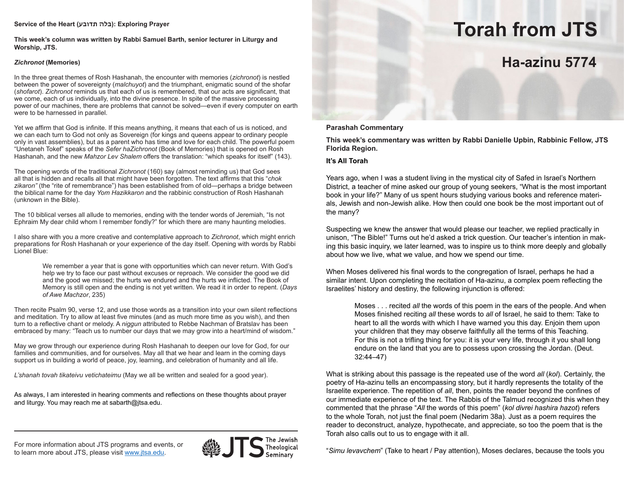### **Service of the Heart (תדובע בלה(: Exploring Prayer**

**This week's column was written by Rabbi Samuel Barth, senior lecturer in Liturgy and Worship, JTS.**

### *Zichronot* **(Memories)**

In the three great themes of Rosh Hashanah, the encounter with memories (*zichronot*) is nestled between the power of sovereignty (*malchuyot*) and the triumphant, enigmatic sound of the shofar (*shofarot*). *Zichronot* reminds us that each of us is remembered, that our acts are significant, that we come, each of us individually, into the divine presence. In spite of the massive processing power of our machines, there are problems that cannot be solved—even if every computer on earth were to be harnessed in parallel.

Yet we affirm that God is infinite. If this means anything, it means that each of us is noticed, and we can each turn to God not only as Sovereign (for kings and queens appear to ordinary people only in vast assemblies), but as a parent who has time and love for each child. The powerful poem "Unetaneh Tokef" speaks of the *Sefer haZichronot* (Book of Memories) that is opened on Rosh Hashanah, and the new *Mahzor Lev Shalem* offers the translation: "which speaks for itself" (143).

The opening words of the traditional *Zichronot* (160) say (almost reminding us) that God sees all that is hidden and recalls all that might have been forgotten. The text affirms that this "*chok*  zikaron" (the "rite of remembrance") has been established from of old—perhaps a bridge between the biblical name for the day *Yom Hazikkaron* and the rabbinic construction of Rosh Hashanah (unknown in the Bible).

The 10 biblical verses all allude to memories, ending with the tender words of Jeremiah, "Is not Ephraim My dear child whom I remember fondly?" for which there are many haunting melodies.

I also share with you a more creative and contemplative approach to *Zichronot*, which might enrich preparations for Rosh Hashanah or your experience of the day itself. Opening with words by Rabbi Lionel Blue:

We remember a year that is gone with opportunities which can never return. With God's help we try to face our past without excuses or reproach. We consider the good we did and the good we missed; the hurts we endured and the hurts we inflicted. The Book of Memory is still open and the ending is not yet written. We read it in order to repent. (*Days of Awe Machzor*, 235)

Then recite Psalm 90, verse 12, and use those words as a transition into your own silent reflections and meditation. Try to allow at least five minutes (and as much more time as you wish), and then turn to a reflective chant or melody. A *niggun* attributed to Rebbe Nachman of Bratslav has been embraced by many: "Teach us to number our days that we may grow into a heart/mind of wisdom."

May we grow through our experience during Rosh Hashanah to deepen our love for God, for our families and communities, and for ourselves. May all that we hear and learn in the coming days support us in building a world of peace, joy, learning, and celebration of humanity and all life.

*L'shanah tovah tikateivu vetichateimu* (May we all be written and sealed for a good year).

As always, I am interested in hearing comments and reflections on these thoughts about prayer and liturgy. You may reach me at sabarth@jtsa.edu.

# For more information about JTS programs and events, or **the second of the Jewish**<br>Theological "Simu levavchem" (Take to heart / Pay attention), Moses declares, because the tools you to learn more about JTS, please visit www.jtsa.edu.



# **Torah from JTS**

# **Ha-azinu 5774**

### **Parashah Commentary**

**This week's commentary was written by Rabbi Danielle Upbin, Rabbinic Fellow, JTS Florida Region.**

### **It's All Torah**

Years ago, when I was a student living in the mystical city of Safed in Israel's Northern District, a teacher of mine asked our group of young seekers, "What is the most important book in your life?" Many of us spent hours studying various books and reference materials, Jewish and non-Jewish alike. How then could one book be the most important out of the many?

Suspecting we knew the answer that would please our teacher, we replied practically in unison, "The Bible!" Turns out he'd asked a trick question. Our teacher's intention in making this basic inquiry, we later learned, was to inspire us to think more deeply and globally about how we live, what we value, and how we spend our time.

When Moses delivered his final words to the congregation of Israel, perhaps he had a similar intent. Upon completing the recitation of Ha-azinu, a complex poem reflecting the Israelites' history and destiny, the following injunction is offered:

Moses . . . recited *all* the words of this poem in the ears of the people. And when Moses finished reciting *all* these words to *all* of Israel, he said to them: Take to heart to all the words with which I have warned you this day. Enjoin them upon your children that they may observe faithfully all the terms of this Teaching. For this is not a trifling thing for you: it is your very life, through it you shall long endure on the land that you are to possess upon crossing the Jordan. (Deut. 32:44–47)

What is striking about this passage is the repeated use of the word *all* (*kol*). Certainly, the poetry of Ha-azinu tells an encompassing story, but it hardly represents the totality of the Israelite experience. The repetition of *all*, then, points the reader beyond the confines of our immediate experience of the text. The Rabbis of the Talmud recognized this when they commented that the phrase "*All* the words of this poem" (*kol divrei hashira hazot*) refers to the whole Torah*,* not just the final poem (Nedarim 38a). Just as a poem requires the reader to deconstruct, analyze, hypothecate, and appreciate, so too the poem that is the Torah also calls out to us to engage with it all.